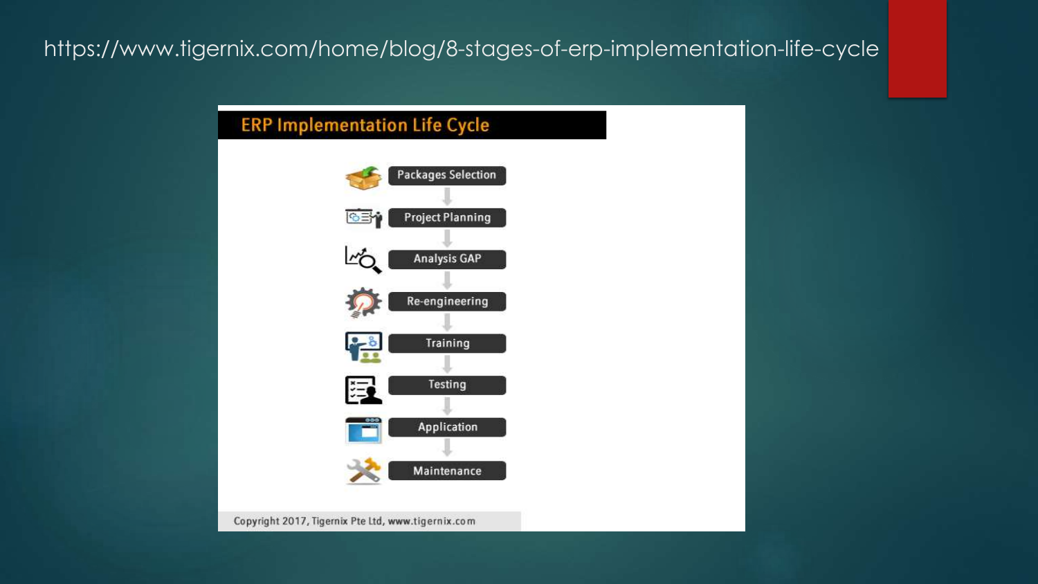### https://www.tigernix.com/home/blog/8-stages-of-erp-implementation-life-cycle

#### **ERP Implementation Life Cycle**



Copyright 2017, Tigernix Pte Ltd, www.tigernix.com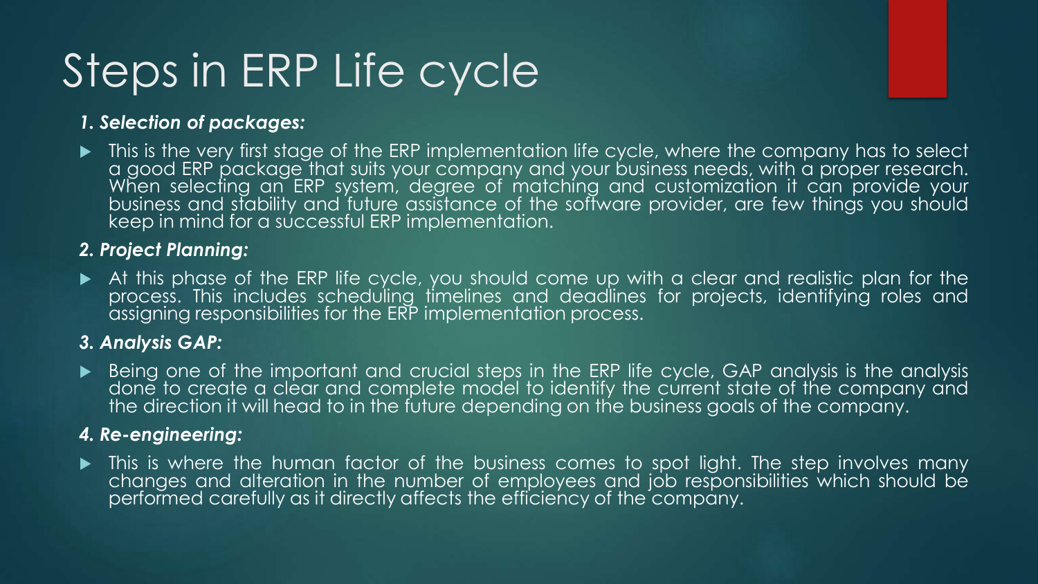# Steps in ERP Life cycle

#### *1. Selection of packages:*

**This is the very first stage of the ERP implementation life cycle, where the company has to select** a good ERP package that suits your company and your business needs, with a proper research. When selecting an ERP system, degree of matching and customization it can provide your business and stability and future assistance of the software provider, are few things you should keep in mind for a successful ERP implementation.

#### *2. Project Planning:*

 At this phase of the ERP life cycle, you should come up with a clear and realistic plan for the process. This includes scheduling timelines and deadlines for projects, identifying roles and assigning responsibilities for the ERP implementation process.

#### *3. Analysis GAP:*

Being one of the important and crucial steps in the ERP life cycle, GAP analysis is the analysis done to create a clear and complete model to identify the current state of the company and the direction it will head to in the future depending on the business goals of the company.

#### *4. Re-engineering:*

• This is where the human factor of the business comes to spot light. The step involves many changes and alteration in the number of employees and job responsibilities which should be performed carefully as it directly affects the efficiency of the company.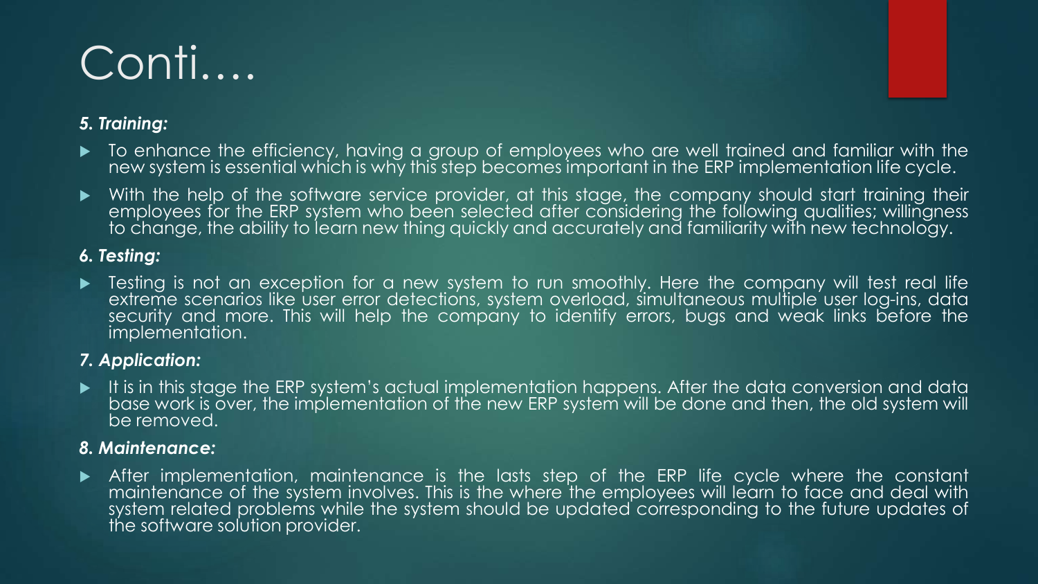## Conti….

#### *5. Training:*

- $\blacktriangleright$  To enhance the efficiency, having a group of employees who are well trained and familiar with the new system is essential which is why this step becomes important in the ERP implementation life cycle.
- With the help of the software service provider, at this stage, the company should start training their employees for the ERP system who been selected after considering the following qualities; willingness to change, the ability to learn new thing quickly and accurately and familiarity with new technology.

#### *6. Testing:*

For Testing is not an exception for a new system to run smoothly. Here the company will test real life extreme scenarios like user error detections, system overload, simultaneous multiple user log-ins, data security and more. This will help the company to identify errors, bugs and weak links before the implementation.

#### *7. Application:*

 $\blacktriangleright$  It is in this stage the ERP system's actual implementation happens. After the data conversion and data base work is over, the implementation of the new ERP system will be done and then, the old system will be removed.

#### *8. Maintenance:*

 After implementation, maintenance is the lasts step of the ERP life cycle where the constant maintenance of the system involves. This is the where the employees will learn to face and deal with system related problems while the system should be updated corresponding to the future updates of the software solution provider.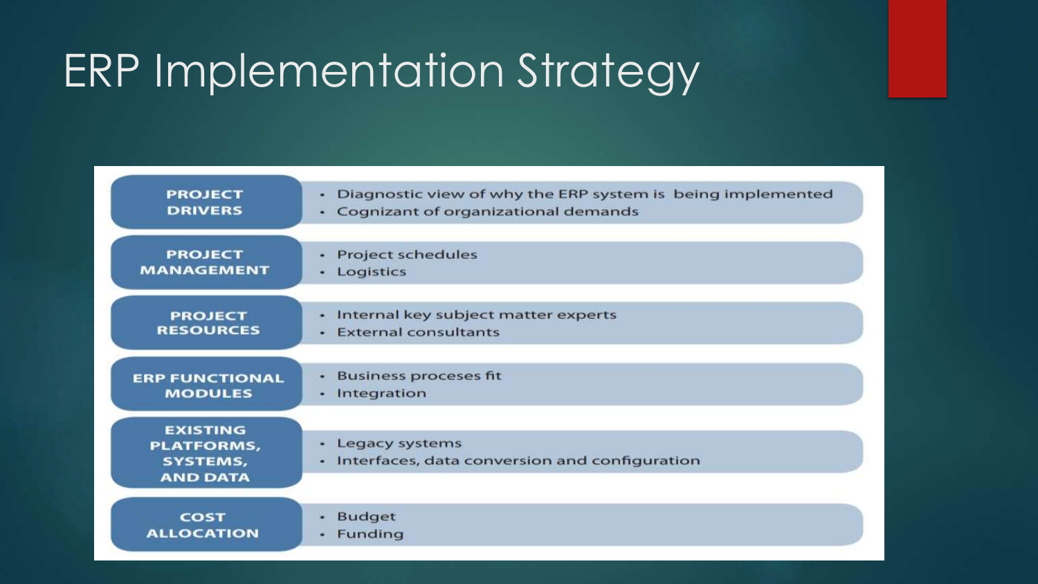## ERP Implementation Strategy

| <b>PROJECT</b><br><b>DRIVERS</b>                                           | Diagnostic view of why the ERP system is being implemented<br>٠<br>Cognizant of organizational demands<br>٠ |
|----------------------------------------------------------------------------|-------------------------------------------------------------------------------------------------------------|
| <b>PROJECT</b><br><b>MANAGEMENT</b>                                        | <b>Project schedules</b><br>٠<br>Logistics<br>٠                                                             |
| <b>PROJECT</b><br><b>RESOURCES</b>                                         | Internal key subject matter experts<br>٠<br><b>External consultants</b><br>$\omega$ .                       |
| <b>ERP FUNCTIONAL</b><br><b>MODULES</b>                                    | <b>Business proceses fit</b><br>٠<br>Integration<br>٠                                                       |
| <b>EXISTING</b><br><b>PLATFORMS,</b><br><b>SYSTEMS,</b><br><b>AND DATA</b> | Legacy systems<br>۰<br>Interfaces, data conversion and configuration<br>$\bullet$                           |
| <b>COST</b><br><b>ALLOCATION</b>                                           | <b>Budget</b><br>Funding<br>٠                                                                               |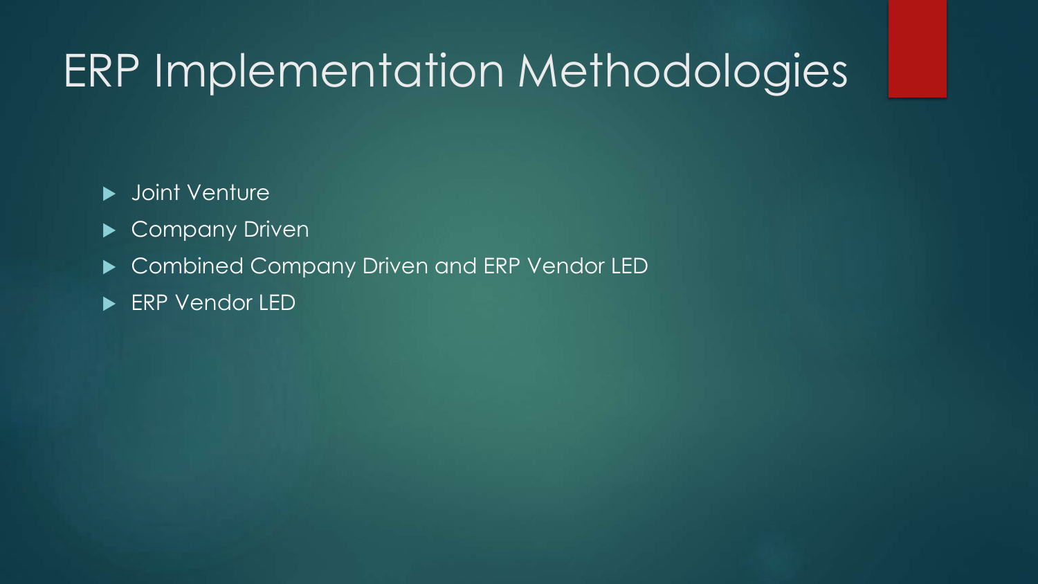### ERP Implementation Methodologies

**D** Joint Venture

- Company Driven
- ▶ Combined Company Driven and ERP Vendor LED
- **ERP Vendor LED**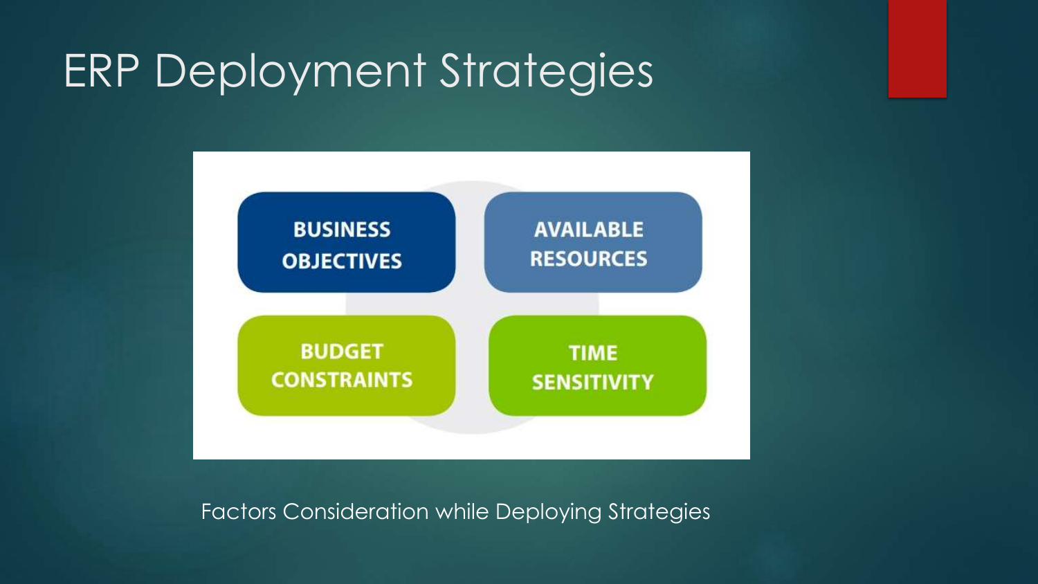### ERP Deployment Strategies



Factors Consideration while Deploying Strategies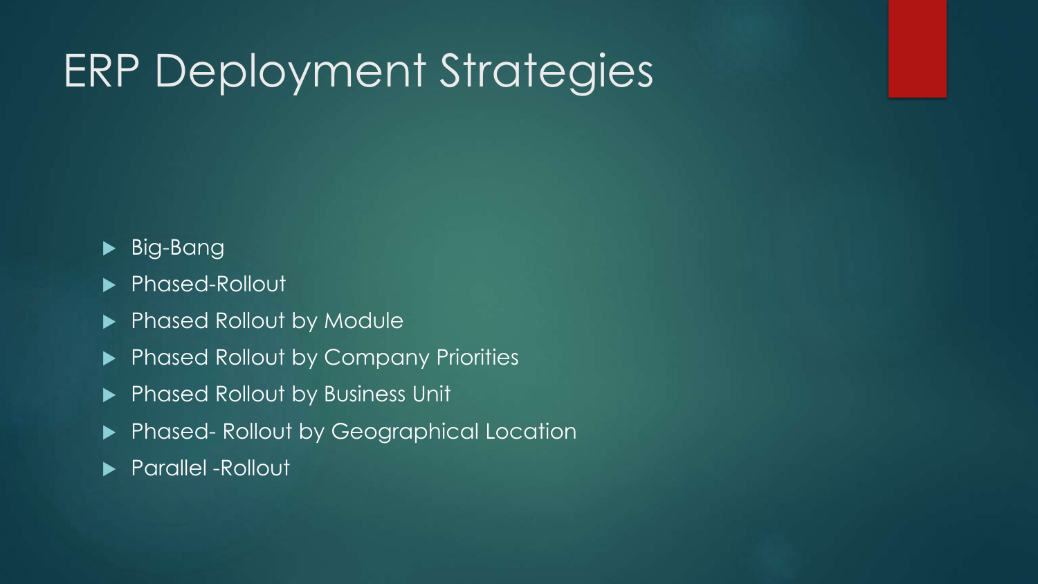### ERP Deployment Strategies

### Big-Bang

- ▶ Phased-Rollout
- Phased Rollout by Module
- Phased Rollout by Company Priorities
- Phased Rollout by Business Unit
- **Phased- Rollout by Geographical Location**
- **Parallel -Rollout**